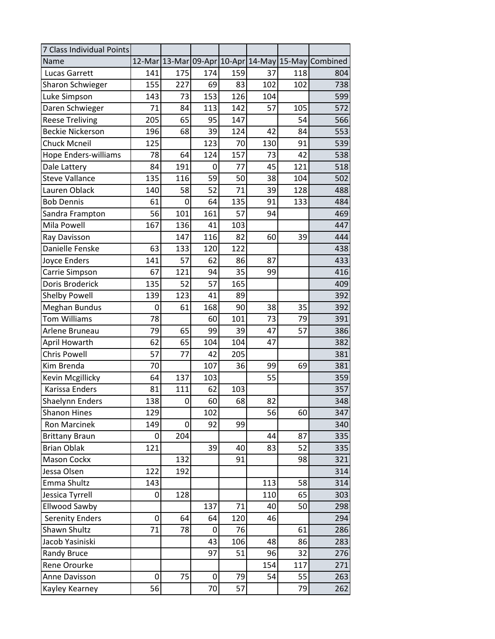| 7 Class Individual Points   |                 |     |     |     |     |     |                                                    |
|-----------------------------|-----------------|-----|-----|-----|-----|-----|----------------------------------------------------|
| Name                        |                 |     |     |     |     |     | 12-Mar 13-Mar 09-Apr 10-Apr 14-May 15-May Combined |
| Lucas Garrett               | 141             | 175 | 174 | 159 | 37  | 118 | 804                                                |
| Sharon Schwieger            | 155             | 227 | 69  | 83  | 102 | 102 | 738                                                |
| Luke Simpson                | 143             | 73  | 153 | 126 | 104 |     | 599                                                |
| Daren Schwieger             | 71              | 84  | 113 | 142 | 57  | 105 | 572                                                |
| <b>Reese Treliving</b>      | 205             | 65  | 95  | 147 |     | 54  | 566                                                |
| <b>Beckie Nickerson</b>     | 196             | 68  | 39  | 124 | 42  | 84  | 553                                                |
| <b>Chuck Mcneil</b>         | 125             |     | 123 | 70  | 130 | 91  | 539                                                |
| <b>Hope Enders-williams</b> | 78              | 64  | 124 | 157 | 73  | 42  | 538                                                |
| Dale Lattery                | 84              | 191 | 0   | 77  | 45  | 121 | 518                                                |
| <b>Steve Vallance</b>       | 135             | 116 | 59  | 50  | 38  | 104 | 502                                                |
| Lauren Oblack               | 140             | 58  | 52  | 71  | 39  | 128 | 488                                                |
| <b>Bob Dennis</b>           | 61              | 0   | 64  | 135 | 91  | 133 | 484                                                |
| Sandra Frampton             | 56              | 101 | 161 | 57  | 94  |     | 469                                                |
| Mila Powell                 | 167             | 136 | 41  | 103 |     |     | 447                                                |
| Ray Davisson                |                 | 147 | 116 | 82  | 60  | 39  | 444                                                |
| Danielle Fenske             | 63              | 133 | 120 | 122 |     |     | 438                                                |
| Joyce Enders                | 141             | 57  | 62  | 86  | 87  |     | 433                                                |
| Carrie Simpson              | 67              | 121 | 94  | 35  | 99  |     | 416                                                |
| Doris Broderick             | 135             | 52  | 57  | 165 |     |     | 409                                                |
| <b>Shelby Powell</b>        | 139             | 123 | 41  | 89  |     |     | 392                                                |
| <b>Meghan Bundus</b>        | 0               | 61  | 168 | 90  | 38  | 35  | 392                                                |
| <b>Tom Williams</b>         | 78              |     | 60  | 101 | 73  | 79  | 391                                                |
| Arlene Bruneau              | 79              | 65  | 99  | 39  | 47  | 57  | 386                                                |
| April Howarth               | 62              | 65  | 104 | 104 | 47  |     | 382                                                |
| <b>Chris Powell</b>         | 57              | 77  | 42  | 205 |     |     | 381                                                |
| Kim Brenda                  | 70              |     | 107 | 36  | 99  | 69  | 381                                                |
| Kevin Mcgillicky            | 64              | 137 | 103 |     | 55  |     | 359                                                |
| Karissa Enders              | 81              | 111 | 62  | 103 |     |     | 357                                                |
| Shaelynn Enders             | 138             | 0   | 60  | 68  | 82  |     | 348                                                |
| <b>Shanon Hines</b>         | 129             |     | 102 |     | 56  | 60  | 347                                                |
| Ron Marcinek                | 149             | 0   | 92  | 99  |     |     | 340                                                |
| <b>Brittany Braun</b>       | 0               | 204 |     |     | 44  | 87  | 335                                                |
| <b>Brian Oblak</b>          | 121             |     | 39  | 40  | 83  | 52  | 335                                                |
| <b>Mason Cockx</b>          |                 | 132 |     | 91  |     | 98  | 321                                                |
| Jessa Olsen                 | 122             | 192 |     |     |     |     | 314                                                |
| Emma Shultz                 | 143             |     |     |     | 113 | 58  | 314                                                |
| Jessica Tyrrell             | 0               | 128 |     |     | 110 | 65  | 303                                                |
| <b>Ellwood Sawby</b>        |                 |     | 137 | 71  | 40  | 50  | 298                                                |
| <b>Serenity Enders</b>      | 0               | 64  | 64  | 120 | 46  |     | 294                                                |
| Shawn Shultz                | 71              | 78  | 0   | 76  |     | 61  | 286                                                |
| Jacob Yasiniski             |                 |     | 43  | 106 | 48  | 86  | 283                                                |
| <b>Randy Bruce</b>          |                 |     | 97  | 51  | 96  | 32  | 276                                                |
| Rene Orourke                |                 |     |     |     | 154 | 117 | 271                                                |
| Anne Davisson               | 0               | 75  | 0   | 79  | 54  | 55  | 263                                                |
| Kayley Kearney              | $\overline{56}$ |     | 70  | 57  |     | 79  | 262                                                |